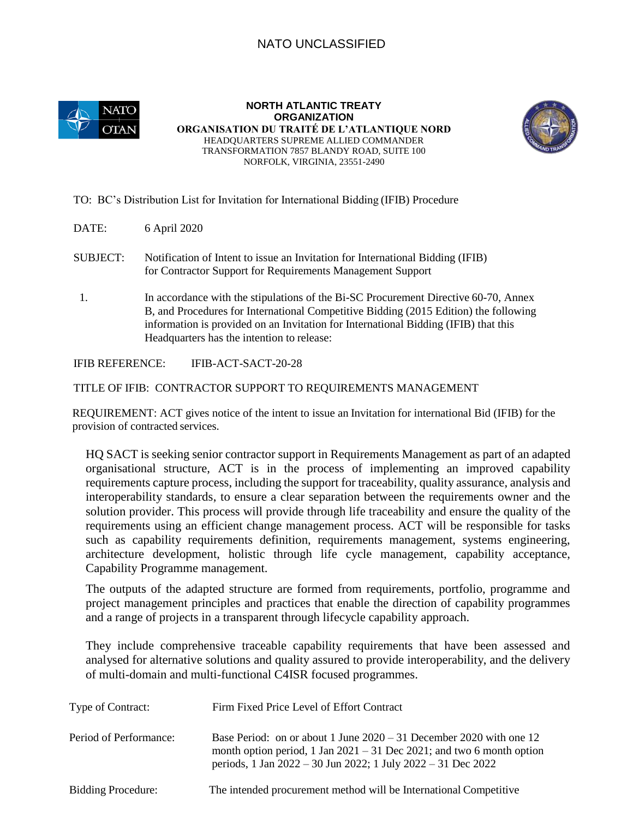## NATO UNCLASSIFIED



**NORTH ATLANTIC TREATY ORGANIZATION ORGANISATION DU TRAITÉ DE L'ATLANTIQUE NORD**  HEADQUARTERS SUPREME ALLIED COMMANDER TRANSFORMATION 7857 BLANDY ROAD, SUITE 100 NORFOLK, VIRGINIA, 23551-2490



TO: BC's Distribution List for Invitation for International Bidding (IFIB) Procedure

DATE: 6 April 2020

 SUBJECT: Notification of Intent to issue an Invitation for International Bidding (IFIB) for Contractor Support for Requirements Management Support

1. In accordance with the stipulations of the Bi-SC Procurement Directive 60-70, Annex B, and Procedures for International Competitive Bidding (2015 Edition) the following information is provided on an Invitation for International Bidding (IFIB) that this Headquarters has the intention to release:

IFIB REFERENCE: IFIB-ACT-SACT-20-28

TITLE OF IFIB: CONTRACTOR SUPPORT TO REQUIREMENTS MANAGEMENT

REQUIREMENT: ACT gives notice of the intent to issue an Invitation for international Bid (IFIB) for the provision of contracted services.

HQ SACT is seeking senior contractor support in Requirements Management as part of an adapted organisational structure, ACT is in the process of implementing an improved capability requirements capture process, including the support for traceability, quality assurance, analysis and interoperability standards, to ensure a clear separation between the requirements owner and the solution provider. This process will provide through life traceability and ensure the quality of the requirements using an efficient change management process. ACT will be responsible for tasks such as capability requirements definition, requirements management, systems engineering, architecture development, holistic through life cycle management, capability acceptance, Capability Programme management.

The outputs of the adapted structure are formed from requirements, portfolio, programme and project management principles and practices that enable the direction of capability programmes and a range of projects in a transparent through lifecycle capability approach.

They include comprehensive traceable capability requirements that have been assessed and analysed for alternative solutions and quality assured to provide interoperability, and the delivery of multi-domain and multi-functional C4ISR focused programmes.

| Type of Contract:         | Firm Fixed Price Level of Effort Contract                                                                                                                                                                        |
|---------------------------|------------------------------------------------------------------------------------------------------------------------------------------------------------------------------------------------------------------|
| Period of Performance:    | Base Period: on or about 1 June $2020 - 31$ December 2020 with one 12<br>month option period, 1 Jan $2021 - 31$ Dec 2021; and two 6 month option<br>periods, 1 Jan 2022 – 30 Jun 2022; 1 July 2022 – 31 Dec 2022 |
| <b>Bidding Procedure:</b> | The intended procurement method will be International Competitive                                                                                                                                                |